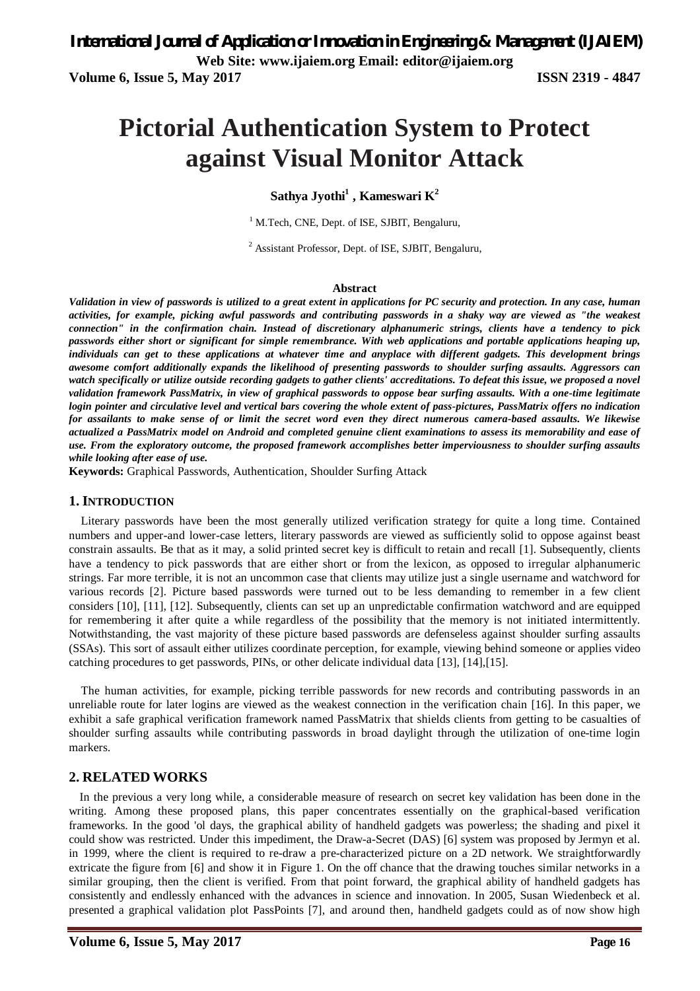# **Pictorial Authentication System to Protect against Visual Monitor Attack**

**Sathya Jyothi<sup>1</sup> , Kameswari K<sup>2</sup>**

<sup>1</sup> M.Tech, CNE, Dept. of ISE, SJBIT, Bengaluru,

<sup>2</sup> Assistant Professor, Dept. of ISE, SJBIT, Bengaluru,

#### **Abstract**

*Validation in view of passwords is utilized to a great extent in applications for PC security and protection. In any case, human activities, for example, picking awful passwords and contributing passwords in a shaky way are viewed as "the weakest connection" in the confirmation chain. Instead of discretionary alphanumeric strings, clients have a tendency to pick passwords either short or significant for simple remembrance. With web applications and portable applications heaping up, individuals can get to these applications at whatever time and anyplace with different gadgets. This development brings awesome comfort additionally expands the likelihood of presenting passwords to shoulder surfing assaults. Aggressors can watch specifically or utilize outside recording gadgets to gather clients' accreditations. To defeat this issue, we proposed a novel validation framework PassMatrix, in view of graphical passwords to oppose bear surfing assaults. With a one-time legitimate login pointer and circulative level and vertical bars covering the whole extent of pass-pictures, PassMatrix offers no indication for assailants to make sense of or limit the secret word even they direct numerous camera-based assaults. We likewise actualized a PassMatrix model on Android and completed genuine client examinations to assess its memorability and ease of use. From the exploratory outcome, the proposed framework accomplishes better imperviousness to shoulder surfing assaults while looking after ease of use.*

**Keywords:** Graphical Passwords, Authentication, Shoulder Surfing Attack

#### **1. INTRODUCTION**

Literary passwords have been the most generally utilized verification strategy for quite a long time. Contained numbers and upper-and lower-case letters, literary passwords are viewed as sufficiently solid to oppose against beast constrain assaults. Be that as it may, a solid printed secret key is difficult to retain and recall [1]. Subsequently, clients have a tendency to pick passwords that are either short or from the lexicon, as opposed to irregular alphanumeric strings. Far more terrible, it is not an uncommon case that clients may utilize just a single username and watchword for various records [2]. Picture based passwords were turned out to be less demanding to remember in a few client considers [10], [11], [12]. Subsequently, clients can set up an unpredictable confirmation watchword and are equipped for remembering it after quite a while regardless of the possibility that the memory is not initiated intermittently. Notwithstanding, the vast majority of these picture based passwords are defenseless against shoulder surfing assaults (SSAs). This sort of assault either utilizes coordinate perception, for example, viewing behind someone or applies video catching procedures to get passwords, PINs, or other delicate individual data [13], [14],[15].

The human activities, for example, picking terrible passwords for new records and contributing passwords in an unreliable route for later logins are viewed as the weakest connection in the verification chain [16]. In this paper, we exhibit a safe graphical verification framework named PassMatrix that shields clients from getting to be casualties of shoulder surfing assaults while contributing passwords in broad daylight through the utilization of one-time login markers.

# **2. RELATED WORKS**

In the previous a very long while, a considerable measure of research on secret key validation has been done in the writing. Among these proposed plans, this paper concentrates essentially on the graphical-based verification frameworks. In the good 'ol days, the graphical ability of handheld gadgets was powerless; the shading and pixel it could show was restricted. Under this impediment, the Draw-a-Secret (DAS) [6] system was proposed by Jermyn et al. in 1999, where the client is required to re-draw a pre-characterized picture on a 2D network. We straightforwardly extricate the figure from [6] and show it in Figure 1. On the off chance that the drawing touches similar networks in a similar grouping, then the client is verified. From that point forward, the graphical ability of handheld gadgets has consistently and endlessly enhanced with the advances in science and innovation. In 2005, Susan Wiedenbeck et al. presented a graphical validation plot PassPoints [7], and around then, handheld gadgets could as of now show high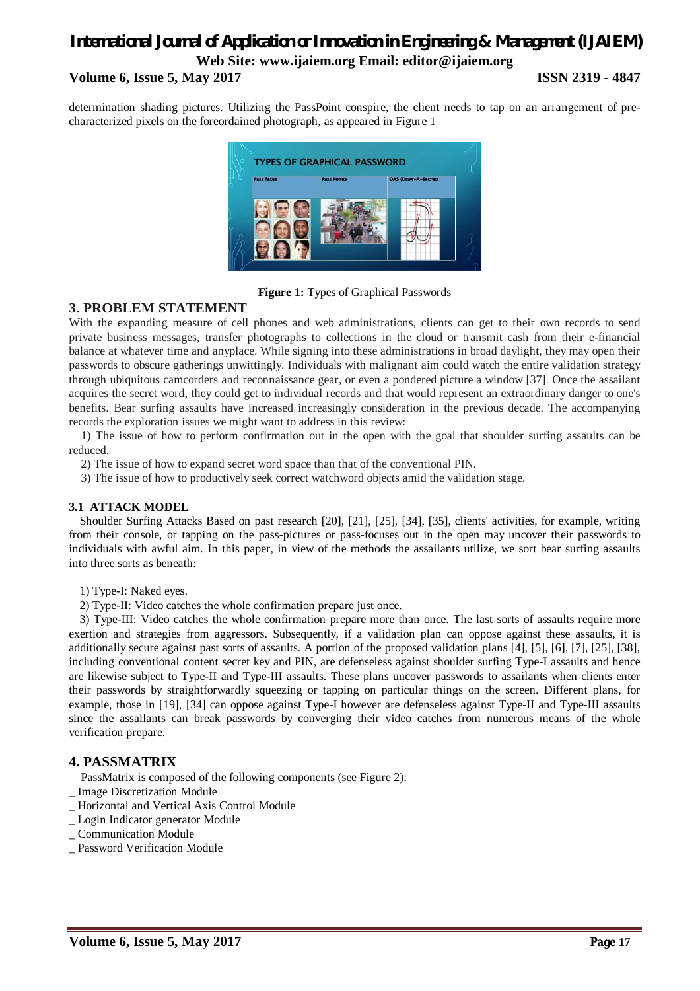# *International Journal of Application or Innovation in Engineering & Management (IJAIEM)* **Web Site: www.ijaiem.org Email: editor@ijaiem.org Volume 6, Issue 5, May 2017 ISSN 2319 - 4847**

determination shading pictures. Utilizing the PassPoint conspire, the client needs to tap on an arrangement of precharacterized pixels on the foreordained photograph, as appeared in Figure 1



**Figure 1:** Types of Graphical Passwords

# **3. PROBLEM STATEMENT**

With the expanding measure of cell phones and web administrations, clients can get to their own records to send private business messages, transfer photographs to collections in the cloud or transmit cash from their e-financial balance at whatever time and anyplace. While signing into these administrations in broad daylight, they may open their passwords to obscure gatherings unwittingly. Individuals with malignant aim could watch the entire validation strategy through ubiquitous camcorders and reconnaissance gear, or even a pondered picture a window [37]. Once the assailant acquires the secret word, they could get to individual records and that would represent an extraordinary danger to one's benefits. Bear surfing assaults have increased increasingly consideration in the previous decade. The accompanying records the exploration issues we might want to address in this review:

1) The issue of how to perform confirmation out in the open with the goal that shoulder surfing assaults can be reduced.

2) The issue of how to expand secret word space than that of the conventional PIN.

3) The issue of how to productively seek correct watchword objects amid the validation stage.

# **3.1 ATTACK MODEL**

Shoulder Surfing Attacks Based on past research [20], [21], [25], [34], [35], clients' activities, for example, writing from their console, or tapping on the pass-pictures or pass-focuses out in the open may uncover their passwords to individuals with awful aim. In this paper, in view of the methods the assailants utilize, we sort bear surfing assaults into three sorts as beneath:

1) Type-I: Naked eyes.

2) Type-II: Video catches the whole confirmation prepare just once.

3) Type-III: Video catches the whole confirmation prepare more than once. The last sorts of assaults require more exertion and strategies from aggressors. Subsequently, if a validation plan can oppose against these assaults, it is additionally secure against past sorts of assaults. A portion of the proposed validation plans [4], [5], [6], [7], [25], [38], including conventional content secret key and PIN, are defenseless against shoulder surfing Type-I assaults and hence are likewise subject to Type-II and Type-III assaults. These plans uncover passwords to assailants when clients enter their passwords by straightforwardly squeezing or tapping on particular things on the screen. Different plans, for example, those in [19], [34] can oppose against Type-I however are defenseless against Type-II and Type-III assaults since the assailants can break passwords by converging their video catches from numerous means of the whole verification prepare.

# **4. PASSMATRIX**

PassMatrix is composed of the following components (see Figure 2):

- \_ Image Discretization Module
- \_ Horizontal and Vertical Axis Control Module
- \_ Login Indicator generator Module
- \_ Communication Module
- \_ Password Verification Module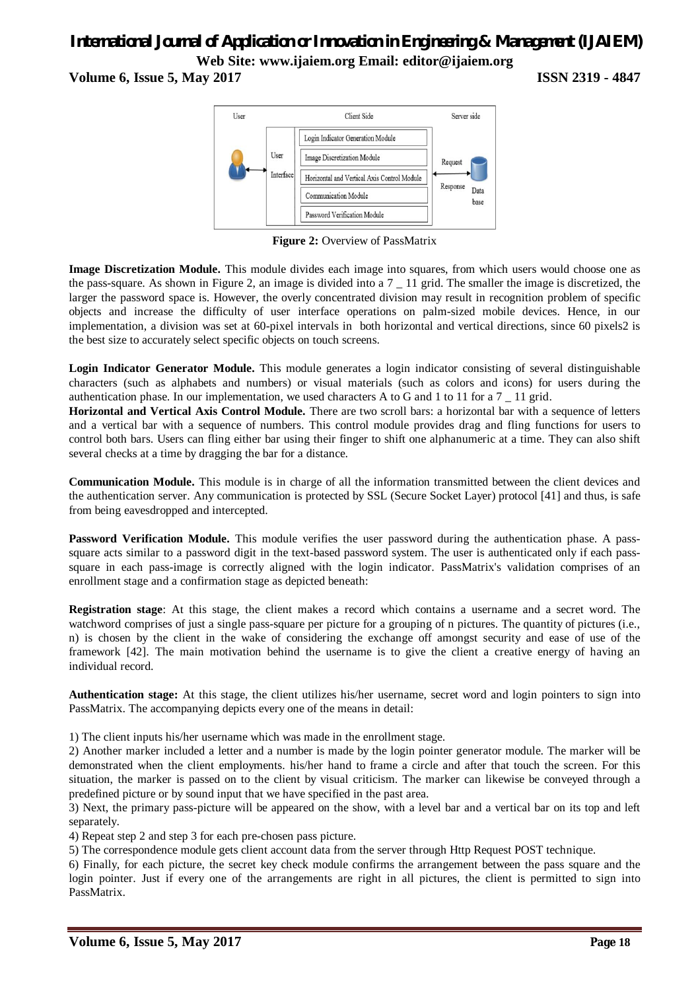# *International Journal of Application or Innovation in Engineering & Management (IJAIEM)* **Web Site: www.ijaiem.org Email: editor@ijaiem.org**

**Volume 6, Issue 5, May 2017 ISSN 2319 - 4847**



**Figure 2:** Overview of PassMatrix

**Image Discretization Module.** This module divides each image into squares, from which users would choose one as the pass-square. As shown in Figure 2, an image is divided into a 7 \_ 11 grid. The smaller the image is discretized, the larger the password space is. However, the overly concentrated division may result in recognition problem of specific objects and increase the difficulty of user interface operations on palm-sized mobile devices. Hence, in our implementation, a division was set at 60-pixel intervals in both horizontal and vertical directions, since 60 pixels2 is the best size to accurately select specific objects on touch screens.

**Login Indicator Generator Module.** This module generates a login indicator consisting of several distinguishable characters (such as alphabets and numbers) or visual materials (such as colors and icons) for users during the authentication phase. In our implementation, we used characters A to G and 1 to 11 for a 7 \_ 11 grid.

**Horizontal and Vertical Axis Control Module.** There are two scroll bars: a horizontal bar with a sequence of letters and a vertical bar with a sequence of numbers. This control module provides drag and fling functions for users to control both bars. Users can fling either bar using their finger to shift one alphanumeric at a time. They can also shift several checks at a time by dragging the bar for a distance.

**Communication Module.** This module is in charge of all the information transmitted between the client devices and the authentication server. Any communication is protected by SSL (Secure Socket Layer) protocol [41] and thus, is safe from being eavesdropped and intercepted.

**Password Verification Module.** This module verifies the user password during the authentication phase. A passsquare acts similar to a password digit in the text-based password system. The user is authenticated only if each passsquare in each pass-image is correctly aligned with the login indicator. PassMatrix's validation comprises of an enrollment stage and a confirmation stage as depicted beneath:

**Registration stage**: At this stage, the client makes a record which contains a username and a secret word. The watchword comprises of just a single pass-square per picture for a grouping of n pictures. The quantity of pictures (i.e., n) is chosen by the client in the wake of considering the exchange off amongst security and ease of use of the framework [42]. The main motivation behind the username is to give the client a creative energy of having an individual record.

**Authentication stage:** At this stage, the client utilizes his/her username, secret word and login pointers to sign into PassMatrix. The accompanying depicts every one of the means in detail:

1) The client inputs his/her username which was made in the enrollment stage.

2) Another marker included a letter and a number is made by the login pointer generator module. The marker will be demonstrated when the client employments. his/her hand to frame a circle and after that touch the screen. For this situation, the marker is passed on to the client by visual criticism. The marker can likewise be conveyed through a predefined picture or by sound input that we have specified in the past area.

3) Next, the primary pass-picture will be appeared on the show, with a level bar and a vertical bar on its top and left separately.

4) Repeat step 2 and step 3 for each pre-chosen pass picture.

5) The correspondence module gets client account data from the server through Http Request POST technique.

6) Finally, for each picture, the secret key check module confirms the arrangement between the pass square and the login pointer. Just if every one of the arrangements are right in all pictures, the client is permitted to sign into PassMatrix.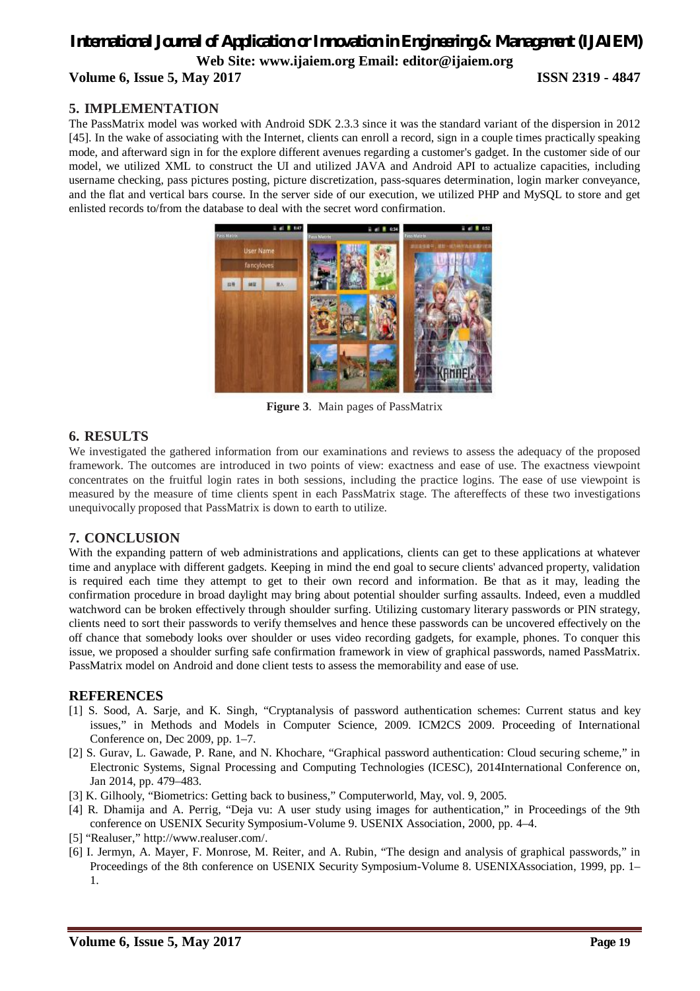# *International Journal of Application or Innovation in Engineering & Management (IJAIEM)* **Web Site: www.ijaiem.org Email: editor@ijaiem.org Volume 6, Issue 5, May 2017 ISSN 2319 - 4847**

# **5. IMPLEMENTATION**

The PassMatrix model was worked with Android SDK 2.3.3 since it was the standard variant of the dispersion in 2012 [45]. In the wake of associating with the Internet, clients can enroll a record, sign in a couple times practically speaking mode, and afterward sign in for the explore different avenues regarding a customer's gadget. In the customer side of our model, we utilized XML to construct the UI and utilized JAVA and Android API to actualize capacities, including username checking, pass pictures posting, picture discretization, pass-squares determination, login marker conveyance, and the flat and vertical bars course. In the server side of our execution, we utilized PHP and MySQL to store and get enlisted records to/from the database to deal with the secret word confirmation.



**Figure 3**. Main pages of PassMatrix

# **6. RESULTS**

We investigated the gathered information from our examinations and reviews to assess the adequacy of the proposed framework. The outcomes are introduced in two points of view: exactness and ease of use. The exactness viewpoint concentrates on the fruitful login rates in both sessions, including the practice logins. The ease of use viewpoint is measured by the measure of time clients spent in each PassMatrix stage. The aftereffects of these two investigations unequivocally proposed that PassMatrix is down to earth to utilize.

# **7. CONCLUSION**

With the expanding pattern of web administrations and applications, clients can get to these applications at whatever time and anyplace with different gadgets. Keeping in mind the end goal to secure clients' advanced property, validation is required each time they attempt to get to their own record and information. Be that as it may, leading the confirmation procedure in broad daylight may bring about potential shoulder surfing assaults. Indeed, even a muddled watchword can be broken effectively through shoulder surfing. Utilizing customary literary passwords or PIN strategy, clients need to sort their passwords to verify themselves and hence these passwords can be uncovered effectively on the off chance that somebody looks over shoulder or uses video recording gadgets, for example, phones. To conquer this issue, we proposed a shoulder surfing safe confirmation framework in view of graphical passwords, named PassMatrix. PassMatrix model on Android and done client tests to assess the memorability and ease of use.

# **REFERENCES**

- [1] S. Sood, A. Sarje, and K. Singh, "Cryptanalysis of password authentication schemes: Current status and key issues," in Methods and Models in Computer Science, 2009. ICM2CS 2009. Proceeding of International Conference on, Dec 2009, pp. 1–7.
- [2] S. Gurav, L. Gawade, P. Rane, and N. Khochare, "Graphical password authentication: Cloud securing scheme," in Electronic Systems, Signal Processing and Computing Technologies (ICESC), 2014International Conference on, Jan 2014, pp. 479–483.
- [3] K. Gilhooly, "Biometrics: Getting back to business," Computerworld, May, vol. 9, 2005.
- [4] R. Dhamija and A. Perrig, "Deja vu: A user study using images for authentication," in Proceedings of the 9th conference on USENIX Security Symposium-Volume 9. USENIX Association, 2000, pp. 4–4.
- [5] "Realuser," http://www.realuser.com/.
- [6] I. Jermyn, A. Mayer, F. Monrose, M. Reiter, and A. Rubin, "The design and analysis of graphical passwords," in Proceedings of the 8th conference on USENIX Security Symposium-Volume 8. USENIXAssociation, 1999, pp. 1– 1.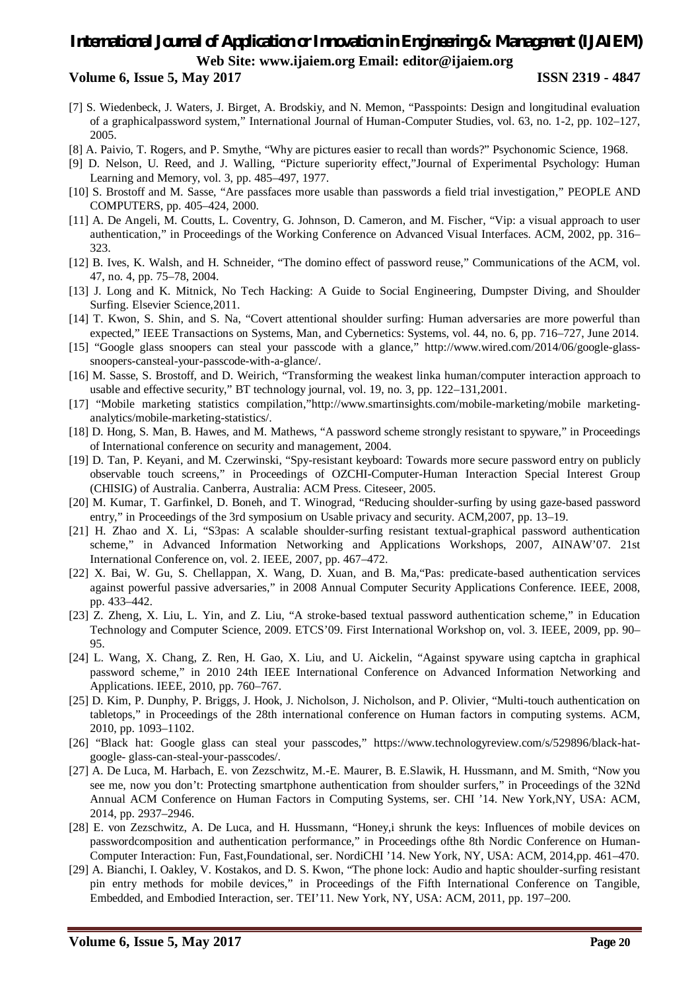# *International Journal of Application or Innovation in Engineering & Management (IJAIEM)* **Web Site: www.ijaiem.org Email: editor@ijaiem.org**

#### **Volume 6, Issue 5, May 2017 ISSN 2319 - 4847**

- [7] S. Wiedenbeck, J. Waters, J. Birget, A. Brodskiy, and N. Memon, "Passpoints: Design and longitudinal evaluation of a graphicalpassword system," International Journal of Human-Computer Studies, vol. 63, no. 1-2, pp. 102–127, 2005.
- [8] A. Paivio, T. Rogers, and P. Smythe, "Why are pictures easier to recall than words?" Psychonomic Science, 1968.
- [9] D. Nelson, U. Reed, and J. Walling, "Picture superiority effect,"Journal of Experimental Psychology: Human Learning and Memory, vol. 3, pp. 485–497, 1977.
- [10] S. Brostoff and M. Sasse, "Are passfaces more usable than passwords a field trial investigation," PEOPLE AND COMPUTERS, pp. 405–424, 2000.
- [11] A. De Angeli, M. Coutts, L. Coventry, G. Johnson, D. Cameron, and M. Fischer, "Vip: a visual approach to user authentication," in Proceedings of the Working Conference on Advanced Visual Interfaces. ACM, 2002, pp. 316– 323.
- [12] B. Ives, K. Walsh, and H. Schneider, "The domino effect of password reuse," Communications of the ACM, vol. 47, no. 4, pp. 75–78, 2004.
- [13] J. Long and K. Mitnick, No Tech Hacking: A Guide to Social Engineering, Dumpster Diving, and Shoulder Surfing. Elsevier Science,2011.
- [14] T. Kwon, S. Shin, and S. Na, "Covert attentional shoulder surfing: Human adversaries are more powerful than expected," IEEE Transactions on Systems, Man, and Cybernetics: Systems, vol. 44, no. 6, pp. 716–727, June 2014.
- [15] "Google glass snoopers can steal your passcode with a glance," http://www.wired.com/2014/06/google-glasssnoopers-cansteal-your-passcode-with-a-glance/.
- [16] M. Sasse, S. Brostoff, and D. Weirich, "Transforming the weakest linka human/computer interaction approach to usable and effective security," BT technology journal, vol. 19, no. 3, pp. 122–131,2001.
- [17] "Mobile marketing statistics compilation,"http://www.smartinsights.com/mobile-marketing/mobile marketinganalytics/mobile-marketing-statistics/.
- [18] D. Hong, S. Man, B. Hawes, and M. Mathews, "A password scheme strongly resistant to spyware," in Proceedings of International conference on security and management, 2004.
- [19] D. Tan, P. Keyani, and M. Czerwinski, "Spy-resistant keyboard: Towards more secure password entry on publicly observable touch screens," in Proceedings of OZCHI-Computer-Human Interaction Special Interest Group (CHISIG) of Australia. Canberra, Australia: ACM Press. Citeseer, 2005.
- [20] M. Kumar, T. Garfinkel, D. Boneh, and T. Winograd, "Reducing shoulder-surfing by using gaze-based password entry," in Proceedings of the 3rd symposium on Usable privacy and security. ACM,2007, pp. 13–19.
- [21] H. Zhao and X. Li, "S3pas: A scalable shoulder-surfing resistant textual-graphical password authentication scheme," in Advanced Information Networking and Applications Workshops, 2007, AINAW'07. 21st International Conference on, vol. 2. IEEE, 2007, pp. 467–472.
- [22] X. Bai, W. Gu, S. Chellappan, X. Wang, D. Xuan, and B. Ma,"Pas: predicate-based authentication services against powerful passive adversaries," in 2008 Annual Computer Security Applications Conference. IEEE, 2008, pp. 433–442.
- [23] Z. Zheng, X. Liu, L. Yin, and Z. Liu, "A stroke-based textual password authentication scheme," in Education Technology and Computer Science, 2009. ETCS'09. First International Workshop on, vol. 3. IEEE, 2009, pp. 90– 95.
- [24] L. Wang, X. Chang, Z. Ren, H. Gao, X. Liu, and U. Aickelin, "Against spyware using captcha in graphical password scheme," in 2010 24th IEEE International Conference on Advanced Information Networking and Applications. IEEE, 2010, pp. 760–767.
- [25] D. Kim, P. Dunphy, P. Briggs, J. Hook, J. Nicholson, J. Nicholson, and P. Olivier, "Multi-touch authentication on tabletops," in Proceedings of the 28th international conference on Human factors in computing systems. ACM, 2010, pp. 1093–1102.
- [26] "Black hat: Google glass can steal your passcodes," https://www.technologyreview.com/s/529896/black-hatgoogle- glass-can-steal-your-passcodes/.
- [27] A. De Luca, M. Harbach, E. von Zezschwitz, M.-E. Maurer, B. E.Slawik, H. Hussmann, and M. Smith, "Now you see me, now you don't: Protecting smartphone authentication from shoulder surfers," in Proceedings of the 32Nd Annual ACM Conference on Human Factors in Computing Systems, ser. CHI '14. New York,NY, USA: ACM, 2014, pp. 2937–2946.
- [28] E. von Zezschwitz, A. De Luca, and H. Hussmann, "Honey,i shrunk the keys: Influences of mobile devices on passwordcomposition and authentication performance," in Proceedings ofthe 8th Nordic Conference on Human-Computer Interaction: Fun, Fast,Foundational, ser. NordiCHI '14. New York, NY, USA: ACM, 2014,pp. 461–470.
- [29] A. Bianchi, I. Oakley, V. Kostakos, and D. S. Kwon, "The phone lock: Audio and haptic shoulder-surfing resistant pin entry methods for mobile devices," in Proceedings of the Fifth International Conference on Tangible, Embedded, and Embodied Interaction, ser. TEI'11. New York, NY, USA: ACM, 2011, pp. 197–200.